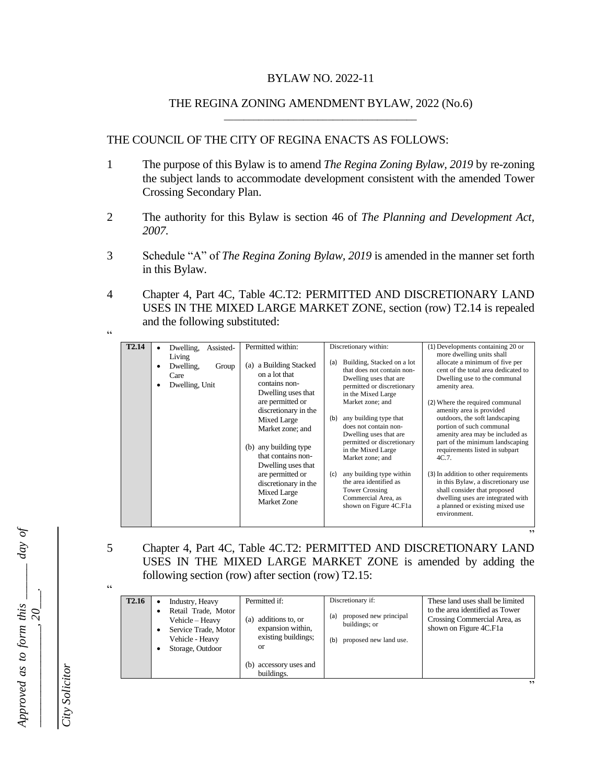### BYLAW NO. 2022-11

#### THE REGINA ZONING AMENDMENT BYLAW, 2022 (No.6) \_\_\_\_\_\_\_\_\_\_\_\_\_\_\_\_\_\_\_\_\_\_\_\_\_\_\_\_\_\_\_\_\_\_\_\_\_\_\_

### THE COUNCIL OF THE CITY OF REGINA ENACTS AS FOLLOWS:

- 1 The purpose of this Bylaw is to amend *The Regina Zoning Bylaw, 2019* by re-zoning the subject lands to accommodate development consistent with the amended Tower Crossing Secondary Plan.
- 2 The authority for this Bylaw is section 46 of *The Planning and Development Act, 2007.*
- 3 Schedule "A" of *The Regina Zoning Bylaw, 2019* is amended in the manner set forth in this Bylaw.
- 4 Chapter 4, Part 4C, Table 4C.T2: PERMITTED AND DISCRETIONARY LAND USES IN THE MIXED LARGE MARKET ZONE, section (row) T2.14 is repealed and the following substituted:

| T <sub>2.14</sub> | Dwelling,<br>Assisted-<br>Living<br>Dwelling,<br>Group<br>Care<br>Dwelling, Unit | Permitted within:<br>a Building Stacked<br>(a)<br>on a lot that<br>contains non-<br>Dwelling uses that<br>are permitted or<br>discretionary in the<br>Mixed Large<br>Market zone: and<br>(b) any building type<br>that contains non-<br>Dwelling uses that<br>are permitted or<br>discretionary in the<br>Mixed Large<br>Market Zone | Discretionary within:<br>Building, Stacked on a lot<br>(a)<br>that does not contain non-<br>Dwelling uses that are<br>permitted or discretionary<br>in the Mixed Large<br>Market zone; and<br>any building type that<br>(b)<br>does not contain non-<br>Dwelling uses that are<br>permitted or discretionary<br>in the Mixed Large<br>Market zone; and<br>any building type within<br>(c)<br>the area identified as<br><b>Tower Crossing</b><br>Commercial Area, as<br>shown on Figure 4C.F1a | (1) Developments containing 20 or<br>more dwelling units shall<br>allocate a minimum of five per<br>cent of the total area dedicated to<br>Dwelling use to the communal<br>amenity area.<br>(2) Where the required communal<br>amenity area is provided<br>outdoors, the soft landscaping<br>portion of such communal<br>amenity area may be included as<br>part of the minimum landscaping<br>requirements listed in subpart<br>4C.7<br>(3) In addition to other requirements<br>in this Bylaw, a discretionary use<br>shall consider that proposed<br>dwelling uses are integrated with<br>a planned or existing mixed use<br>environment. |
|-------------------|----------------------------------------------------------------------------------|--------------------------------------------------------------------------------------------------------------------------------------------------------------------------------------------------------------------------------------------------------------------------------------------------------------------------------------|-----------------------------------------------------------------------------------------------------------------------------------------------------------------------------------------------------------------------------------------------------------------------------------------------------------------------------------------------------------------------------------------------------------------------------------------------------------------------------------------------|----------------------------------------------------------------------------------------------------------------------------------------------------------------------------------------------------------------------------------------------------------------------------------------------------------------------------------------------------------------------------------------------------------------------------------------------------------------------------------------------------------------------------------------------------------------------------------------------------------------------------------------------|

5 Chapter 4, Part 4C, Table 4C.T2: PERMITTED AND DISCRETIONARY LAND USES IN THE MIXED LARGE MARKET ZONE is amended by adding the following section (row) after section (row) T2.15:

.,

"

"

 $\epsilon$ 

| <b>T2.16</b> | Industry, Heavy<br>$\bullet$<br>Retail Trade, Motor<br>Vehicle - Heavy<br>Service Trade, Motor<br>٠<br>Vehicle - Heavy<br>Storage, Outdoor | Permitted if:<br>additions to, or<br>(a)<br>expansion within,<br>existing buildings;<br>or | Discretionary if:<br>proposed new principal<br>(a)<br>buildings; or<br>proposed new land use.<br>(b) | These land uses shall be limited<br>to the area identified as Tower<br>Crossing Commercial Area, as<br>shown on Figure 4C.F1a |
|--------------|--------------------------------------------------------------------------------------------------------------------------------------------|--------------------------------------------------------------------------------------------|------------------------------------------------------------------------------------------------------|-------------------------------------------------------------------------------------------------------------------------------|
|              |                                                                                                                                            | accessory uses and<br>buildings.                                                           |                                                                                                      |                                                                                                                               |

*Approved as to form this \_\_\_\_\_\_ day of*  Approved as to form this  $\frac{1}{\sqrt{2\pi}}$  day of *\_\_\_\_\_\_\_\_\_\_\_\_\_\_\_\_\_, 20\_\_\_.*

*City Solicitor*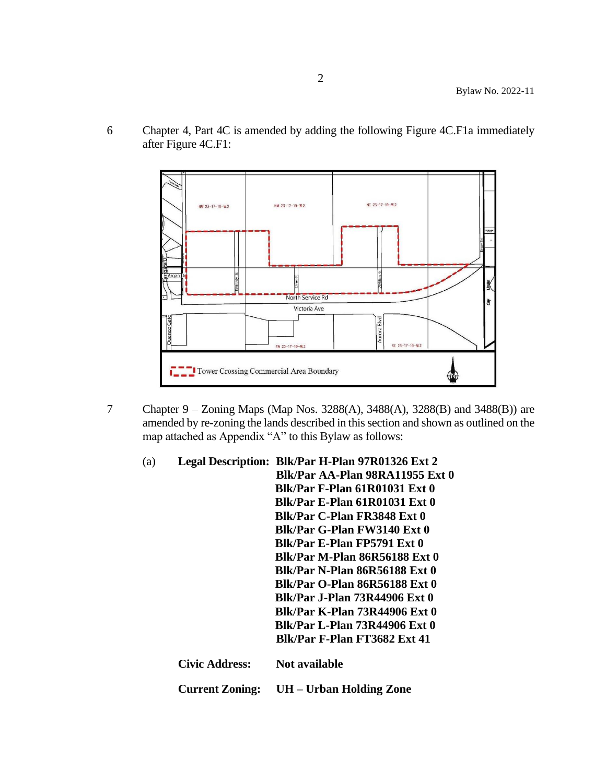6 Chapter 4, Part 4C is amended by adding the following Figure 4C.F1a immediately after Figure 4C.F1:



7 Chapter 9 – Zoning Maps (Map Nos. 3288(A), 3488(A), 3288(B) and 3488(B)) are amended by re-zoning the lands described in this section and shown as outlined on the map attached as Appendix "A" to this Bylaw as follows:

| (a) |                        | Legal Description: Blk/Par H-Plan 97R01326 Ext 2 |
|-----|------------------------|--------------------------------------------------|
|     |                        | Blk/Par AA-Plan 98RA11955 Ext 0                  |
|     |                        | <b>Blk/Par F-Plan 61R01031 Ext 0</b>             |
|     |                        | <b>Blk/Par E-Plan 61R01031 Ext 0</b>             |
|     |                        | Blk/Par C-Plan FR3848 Ext 0                      |
|     |                        | Blk/Par G-Plan FW3140 Ext 0                      |
|     |                        | Blk/Par E-Plan FP5791 Ext 0                      |
|     |                        | <b>Blk/Par M-Plan 86R56188 Ext 0</b>             |
|     |                        | <b>Blk/Par N-Plan 86R56188 Ext 0</b>             |
|     |                        | <b>Blk/Par O-Plan 86R56188 Ext 0</b>             |
|     |                        | <b>Blk/Par J-Plan 73R44906 Ext 0</b>             |
|     |                        | <b>Blk/Par K-Plan 73R44906 Ext 0</b>             |
|     |                        | <b>Blk/Par L-Plan 73R44906 Ext 0</b>             |
|     |                        | <b>Blk/Par F-Plan FT3682 Ext 41</b>              |
|     | <b>Civic Address:</b>  | Not available                                    |
|     | <b>Current Zoning:</b> | UH – Urban Holding Zone                          |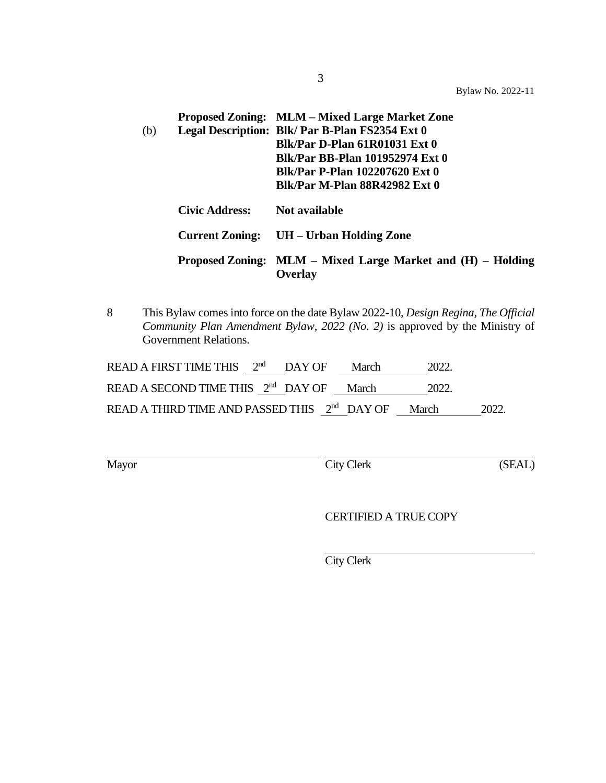Bylaw No. 2022-11

| (b) |                | Proposed Zoning: MLM – Mixed Large Market Zone<br>Legal Description: Blk/ Par B-Plan FS2354 Ext 0<br>Blk/Par D-Plan 61R01031 Ext 0<br><b>Blk/Par BB-Plan 101952974 Ext 0</b><br>Blk/Par P-Plan 102207620 Ext 0<br><b>Blk/Par M-Plan 88R42982 Ext 0</b> |
|-----|----------------|--------------------------------------------------------------------------------------------------------------------------------------------------------------------------------------------------------------------------------------------------------|
|     | Civic Address: | Not available                                                                                                                                                                                                                                          |
|     |                | Current Zoning: UH – Urban Holding Zone                                                                                                                                                                                                                |
|     |                | Proposed Zoning: MLM – Mixed Large Market and (H) – Holding<br>Overlay                                                                                                                                                                                 |

8 This Bylaw comes into force on the date Bylaw 2022-10, *Design Regina, The Official Community Plan Amendment Bylaw, 2022 (No. 2)* is approved by the Ministry of Government Relations.

| READ A FIRST TIME THIS $2nd$ DAY OF                            |  | March | 2022. |      |
|----------------------------------------------------------------|--|-------|-------|------|
| READ A SECOND TIME THIS 2 <sup>nd</sup> DAY OF March           |  |       | 2022. |      |
| READ A THIRD TIME AND PASSED THIS 2 <sup>nd</sup> DAY OF March |  |       |       | 2022 |

Mayor City Clerk (SEAL)

CERTIFIED A TRUE COPY

City Clerk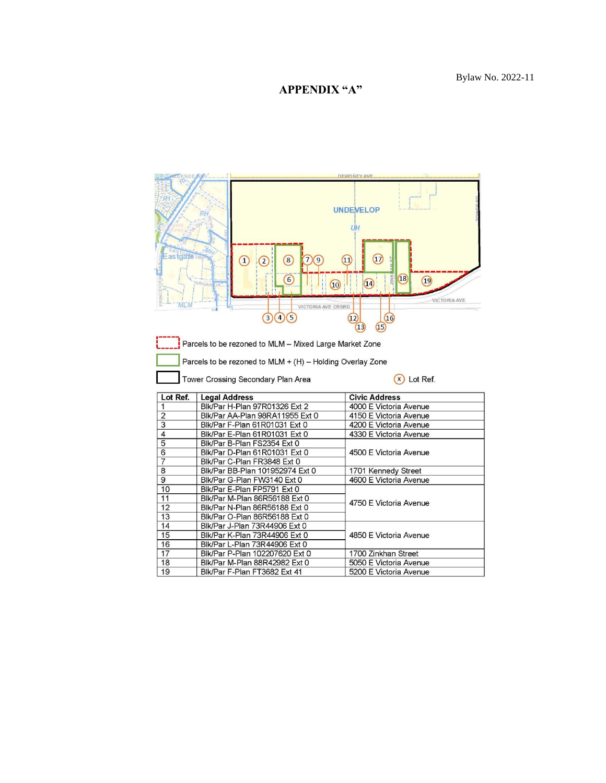